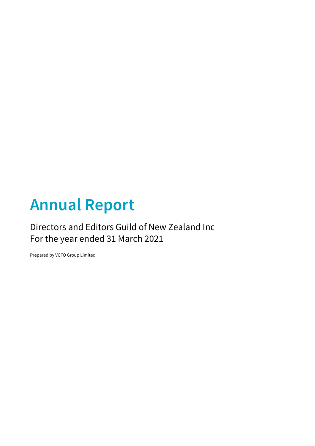# **Annual Report**

## Directors and Editors Guild of New Zealand Inc For the year ended 31 March 2021

Prepared by VCFO Group Limited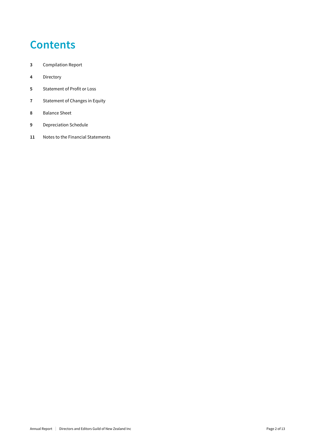## **Contents**

- Compilation Report
- Directory
- Statement of Profit or Loss
- Statement of Changes in Equity
- Balance Sheet
- Depreciation Schedule
- Notes to the Financial Statements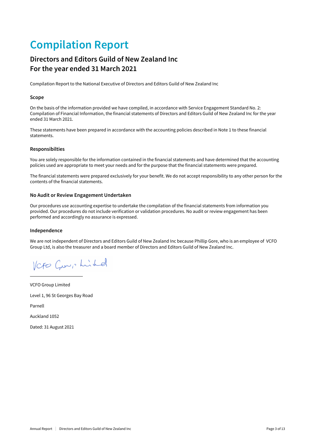## **Compilation Report**

### **Directors and Editors Guild of New Zealand Inc For the year ended 31 March 2021**

Compilation Report to the National Executive of Directors and Editors Guild of New Zealand Inc

### **Scope**

On the basis of the information provided we have compiled, in accordance with Service Engagement Standard No. 2: Compilation of Financial Information, the financial statements of Directors and Editors Guild of New Zealand Inc for the year ended 31 March 2021.

These statements have been prepared in accordance with the accounting policies described in Note 1 to these financial statements.

### **Responsibilties**

You are solely responsible for the information contained in the financial statements and have determined that the accounting policies used are appropriate to meet your needs and for the purpose that the financial statements were prepared.

The financial statements were prepared exclusively for your benefit. We do not accept responsibility to any other person for the contents of the financial statements.

### **No Audit or Review Engagement Undertaken**

Our procedures use accounting expertise to undertake the compilation of the financial statements from information you provided. Our procedures do not include verification or validation procedures. No audit or review engagement has been performed and accordingly no assurance is expressed.

### **Independence**

We are not independent of Directors and Editors Guild of New Zealand Inc because Phillip Gore, who is an employee of VCFO Group Ltd, is also the treasurer and a board member of Directors and Editors Guild of New Zealand Inc.

Veto Guer, hinkel

VCFO Group Limited Level 1, 96 St Georges Bay Road Parnell Auckland 1052 Dated: 31 August 2021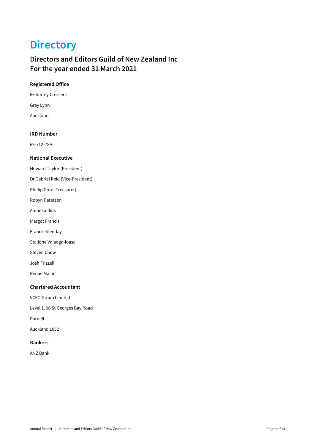## **Directory**

### **Directors and Editors Guild of New Zealand Inc For the year ended 31 March 2021**

### **Registered Office**

66 Surrey Crescent

Grey Lynn

Auckland

### **IRD Number**

69-712-789

### **National Executive**

Howard Taylor (President)

Dr Gabriel Reid (Vice-President)

Phillip Gore (Treasurer)

Robyn Paterson

Annie Collins

Margot Francis

Francis Glenday

Stallone Vaiaoga-loasa

Steven Chow

Josh Frizzell

Renae Maihi

### **Chartered Accountant**

VCFO Group Limited

Level 1, 96 St Georges Bay Road

Parnell

Auckland 1052

### **Bankers**

ANZ Bank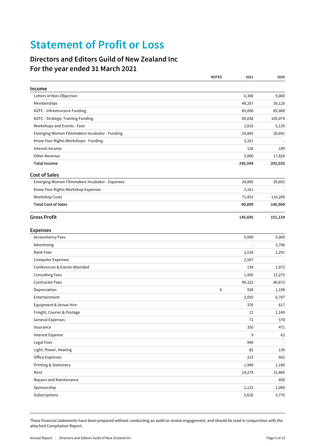## **Statement of Profit or Loss**

### **Directors and Editors Guild of New Zealand Inc For the year ended 31 March 2021**

|                                                | <b>NOTES</b><br>2021 | 2020    |
|------------------------------------------------|----------------------|---------|
| Income                                         |                      |         |
| Letters of Non-Objection                       | 6,300                | 9,000   |
| Memberships                                    | 49,267               | 39,126  |
| NZFC - Infrastructure Funding                  | 85,000               | 85,000  |
| NZFC - Strategic Training Funding              | 69,038               | 105,074 |
| Workshops and Events - Fees                    | 2,816                | 5,135   |
| Emerging Women Filmmakers Incubator - Funding  | 24,885               | 30,691  |
| Know Your Rights Workshops - Funding           | 3,161                |         |
| Interest Income                                | 128                  | 189     |
| Other Revenue                                  | 5,000                | 17,820  |
| <b>Total Income</b>                            | 245,594              | 292,035 |
| <b>Cost of Sales</b>                           |                      |         |
| Emerging Women Filmmakers Incubator - Expenses | 24,885               | 30,691  |
| Know Your Rights Workshop Expenses             | 3,161                |         |
| <b>Workshop Costs</b>                          | 71,853               | 110,209 |
| <b>Total Cost of Sales</b>                     | 99,899               | 140,900 |
| <b>Gross Profit</b>                            | 145,695              | 151,134 |
| <b>Expenses</b>                                |                      |         |
| <b>Accountancy Fees</b>                        | 5,000                | 5,000   |
| Advertising                                    |                      | 3,706   |
| <b>Bank Fees</b>                               | 2,518                | 2,291   |
| <b>Computer Expenses</b>                       | 2,567                |         |
| Conferences & Events Attended                  | 139                  | 1,072   |
| <b>Consulting Fees</b>                         | 1,450                | 15,275  |
| <b>Contractor Fees</b>                         | 99,322               | 80,872  |
| Depreciation                                   | 6<br>928             | 1,198   |
| Entertainment                                  | 2,055                | 6,787   |
| Equipment & Venue Hire                         | 376                  | 617     |
| Freight, Courier & Postage                     | 12                   | 1,149   |
| General Expenses                               | 71                   | 570     |
| Insurance                                      | 350                  | 471     |
| Interest Expense                               | 9                    | 62      |
| Legal Fees                                     | 940                  |         |
| Light, Power, Heating                          | 82                   | 136     |
| <b>Office Expenses</b>                         | 223                  | 602     |
| Printing & Stationery                          | 1,940                | 1,189   |
| Rent                                           | 14,274               | 15,860  |
| Repairs and Maintenance                        |                      | 450     |
| Sponsorship                                    | 1,131                | 1,000   |
| Subscriptions                                  | 5,616                | 3,776   |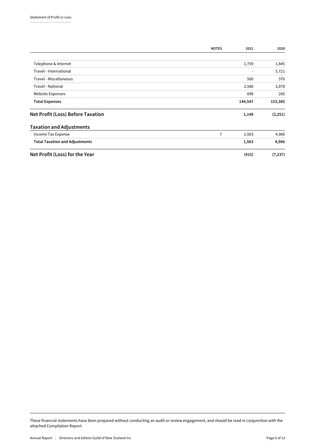|                                       | <b>NOTES</b>   | 2021    | 2020     |
|---------------------------------------|----------------|---------|----------|
|                                       |                |         |          |
| Telephone & Internet                  |                | 1,759   | 1,845    |
| Travel - International                |                | -       | 5,721    |
| Travel - Miscellaneous                |                | 500     | 376      |
| Travel - National                     |                | 2,586   | 3,078    |
| Website Expenses                      |                | 698     | 285      |
| <b>Total Expenses</b>                 |                | 144,547 | 153,385  |
| Net Profit (Loss) Before Taxation     |                | 1,148   | (2, 251) |
| <b>Taxation and Adjustments</b>       |                |         |          |
| Income Tax Expense                    | $\overline{7}$ | 1,563   | 4,986    |
| <b>Total Taxation and Adjustments</b> |                | 1,563   | 4,986    |
| Net Profit (Loss) for the Year        |                | (415)   | (7, 237) |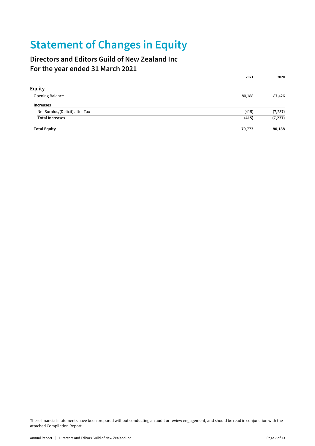## **Statement of Changes in Equity**

### **Directors and Editors Guild of New Zealand Inc For the year ended 31 March 2021**

|                                 | 2021   | 2020     |
|---------------------------------|--------|----------|
| <b>Equity</b>                   |        |          |
| Opening Balance                 | 80,188 | 87,426   |
| <b>Increases</b>                |        |          |
| Net Surplus/(Deficit) after Tax | (415)  | (7, 237) |
| <b>Total Increases</b>          | (415)  | (7, 237) |
| <b>Total Equity</b>             | 79,773 | 80,188   |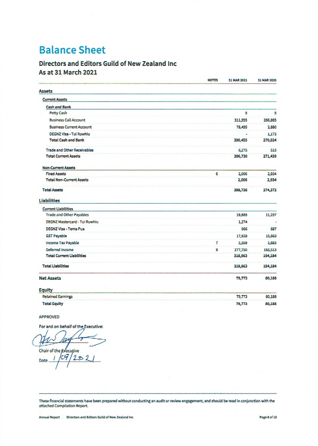## **Balance Sheet**

### Directors and Editors Guild of New Zealand Inc As at 31 March 2021

|                                    | <b>NOTES</b> | 31 MAR 2021 | 31 MAR 2020 |
|------------------------------------|--------------|-------------|-------------|
| <b>Assets</b>                      |              |             |             |
| <b>Current Assets</b>              |              |             |             |
| Cash and Bank                      |              |             |             |
| Petty Cash                         |              | 5           | 5           |
| <b>Business Call Account</b>       |              | 311,955     | 266,865     |
| <b>Business Current Account</b>    |              | 78,495      | 2,880       |
| DEGNZ Visa - Tui Ruwhiu            |              | ÷,          | 1,173       |
| <b>Total Cash and Bank</b>         |              | 390,455     | 270,924     |
| <b>Trade and Other Receivables</b> |              | 6,275       | 515         |
| <b>Total Current Assets</b>        |              | 396,730     | 271,439     |
| <b>Non-Current Assets</b>          |              |             |             |
| <b>Fixed Assets</b>                | 6            | 2,006       | 2,934       |
| <b>Total Non-Current Assets</b>    |              | 2,006       | 2,934       |
| <b>Total Assets</b>                |              | 398,736     | 274,372     |
| <b>Liabilities</b>                 |              |             |             |
| <b>Current Liabilities</b>         |              |             |             |
| <b>Trade and Other Payables</b>    |              | 18,685      | 11,237      |
| DEGNZ Mastercard - Tui Ruwhiu      |              | 1,274       |             |
| DEGNZ Visa - Tema Pua              |              | 966         | 687         |
| <b>GST Payable</b>                 |              | 17,928      | 15,863      |
| Income Tax Payable                 | 7            | 2,359       | 2,883       |
| Deferred Income                    | 8            | 277,750     | 163,513     |
| <b>Total Current Liabilities</b>   |              | 318,963     | 194,184     |
| <b>Total Liabilities</b>           |              | 318,963     | 194,184     |
| <b>Net Assets</b>                  |              | 79,773      | 80,188      |
| <b>Equity</b>                      |              |             |             |
| <b>Retained Earnings</b>           |              | 79,773      | 80,188      |
| <b>Total Equity</b>                |              | 79,773      | 80,188      |

APPROVED

For and on behalf of the Executive:

h Chair of the Executive  $69/202$ Date..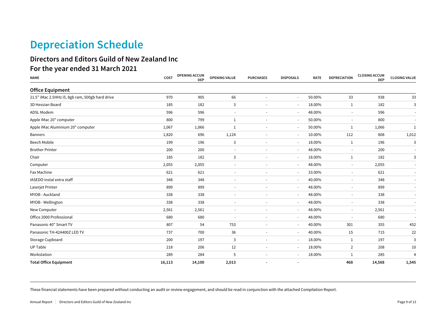## **Depreciation Schedule**

### **Directors and Editors Guild of New Zealand Inc For the year ended 31 March 2021**

| <b>NAME</b>                                     | COST   | <b>OPENING ACCUM</b><br><b>DEP</b> | OPENING VALUE            | <b>PURCHASES</b>         | <b>DISPOSALS</b>         | <b>RATE</b> | <b>DEPRECIATION</b>      | <b>CLOSING ACCUM</b><br><b>DEP</b> | <b>CLOSING VALUE</b>     |
|-------------------------------------------------|--------|------------------------------------|--------------------------|--------------------------|--------------------------|-------------|--------------------------|------------------------------------|--------------------------|
| <b>Office Equipment</b>                         |        |                                    |                          |                          |                          |             |                          |                                    |                          |
| 21.5" iMac 2.5HHz i5, 8gb ram, 500gb hard drive | 970    | 905                                | 66                       | $\sim$                   | $\sim$                   | 50.00%      | 33                       | 938                                | 33                       |
| 3D Hessian Board                                | 185    | 182                                | 3                        |                          | $\overline{\phantom{a}}$ | 18.00%      | $\mathbf{1}$             | 182                                | 3                        |
| ADSL Modem                                      | 596    | 596                                |                          |                          |                          | 48.00%      | $\overline{\phantom{a}}$ | 596                                |                          |
| Apple IMac 20" computer                         | 800    | 799                                | 1                        |                          | $\sim$                   | 50.00%      | $\overline{\phantom{a}}$ | 800                                |                          |
| Apple IMac Aluminium 20" computer               | 1,067  | 1,066                              | 1                        |                          | $\overline{\phantom{a}}$ | 50.00%      | 1                        | 1,066                              | 1                        |
| <b>Banners</b>                                  | 1,820  | 696                                | 1,124                    |                          | $\overline{\phantom{a}}$ | 10.00%      | 112                      | 808                                | 1,012                    |
| <b>Beech Mobile</b>                             | 199    | 196                                | 3                        |                          | $\overline{\phantom{a}}$ | 18.00%      | $\mathbf{1}$             | 196                                | 3                        |
| <b>Brother Printer</b>                          | 200    | 200                                |                          |                          | $\sim$                   | 48.00%      | $\sim$                   | 200                                |                          |
| Chair                                           | 185    | 182                                | 3                        | $\overline{\phantom{a}}$ | $\overline{\phantom{a}}$ | 18.00%      | $\mathbf{1}$             | 182                                | 3                        |
| Computer                                        | 2,055  | 2,055                              | $\sim$                   |                          | $\sim$                   | 48.00%      | $\sim$                   | 2,055                              |                          |
| Fax Machine                                     | 621    | 621                                | $\overline{\phantom{a}}$ | $\overline{\phantom{a}}$ | $\overline{\phantom{a}}$ | 33.00%      | $\sim$                   | 621                                | $\overline{\phantom{a}}$ |
| IASEDO instal extra staff                       | 348    | 348                                | $\overline{\phantom{a}}$ |                          | $\overline{\phantom{a}}$ | 40.00%      | $\overline{\phantom{a}}$ | 348                                | $\sim$                   |
| Laserjet Printer                                | 899    | 899                                | $\blacksquare$           | $\ddot{\phantom{1}}$     | $\sim$                   | 48.00%      | $\overline{\phantom{a}}$ | 899                                | $\sim$                   |
| MYOB - Auckland                                 | 338    | 338                                |                          |                          | $\overline{\phantom{a}}$ | 48.00%      | $\blacksquare$           | 338                                |                          |
| MYOB - Wellington                               | 338    | 338                                |                          |                          | $\overline{\phantom{a}}$ | 48.00%      | $\overline{\phantom{a}}$ | 338                                | $\sim$                   |
| New Computer                                    | 2,561  | 2,561                              |                          |                          | $\overline{\phantom{a}}$ | 48.00%      | $\overline{\phantom{a}}$ | 2,561                              |                          |
| Office 2000 Professional                        | 680    | 680                                | $\sim$                   |                          | $\sim$                   | 48.00%      | $\overline{\phantom{a}}$ | 680                                |                          |
| Panasonic 40" Smart TV                          | 807    | 54                                 | 753                      |                          | $\overline{\phantom{a}}$ | 40.00%      | 301                      | 355                                | 452                      |
| Panasonic TH-42A400Z LED TV                     | 737    | 700                                | 36                       |                          | $\overline{\phantom{a}}$ | 40.00%      | 15                       | 715                                | 22                       |
| Storage Cupboard                                | 200    | 197                                | 3                        | $\sim$                   | $\overline{\phantom{a}}$ | 18.00%      | $\mathbf{1}$             | 197                                | $\overline{3}$           |
| <b>UP Table</b>                                 | 218    | 206                                | 12                       |                          | $\sim$                   | 18.00%      | $\overline{2}$           | 208                                | 10                       |
| Workstation                                     | 289    | 284                                | 5                        | $\ddot{\phantom{1}}$     | $\sim$                   | 18.00%      | 1                        | 285                                | $\overline{4}$           |
| <b>Total Office Equipment</b>                   | 16,113 | 14,100                             | 2,013                    |                          | $\overline{\phantom{a}}$ |             | 468                      | 14,568                             | 1,545                    |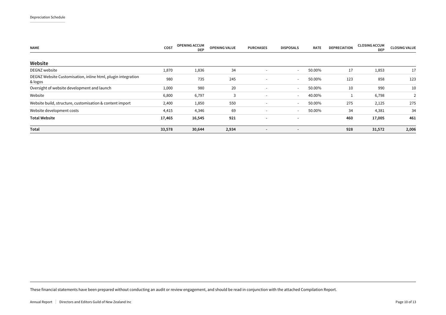| <b>NAME</b>                                                             | COST   | <b>OPENING ACCUM</b><br><b>DEP</b> | <b>OPENING VALUE</b> | <b>PURCHASES</b>         | <b>DISPOSALS</b>         | <b>RATE</b> | <b>DEPRECIATION</b> | <b>CLOSING ACCUM</b><br><b>DEP</b> | <b>CLOSING VALUE</b> |
|-------------------------------------------------------------------------|--------|------------------------------------|----------------------|--------------------------|--------------------------|-------------|---------------------|------------------------------------|----------------------|
| Website                                                                 |        |                                    |                      |                          |                          |             |                     |                                    |                      |
| DEGNZ website                                                           | 1,870  | 1,836                              | 34                   | $\overline{\phantom{a}}$ | $\sim$                   | 50.00%      | 17                  | 1,853                              | 17                   |
| DEGNZ Website Customisation, inline html, plugin integration<br>& logos | 980    | 735                                | 245                  | $\overline{\phantom{a}}$ | $\sim$                   | 50.00%      | 123                 | 858                                | 123                  |
| Oversight of website development and launch                             | 1,000  | 980                                | 20                   | $\overline{\phantom{a}}$ | $\sim$                   | 50.00%      | 10                  | 990                                | 10                   |
| Website                                                                 | 6,800  | 6,797                              | 3                    | $\overline{\phantom{a}}$ | $\sim$                   | 40.00%      |                     | 6,798                              |                      |
| Website build, structure, customisation & content import                | 2,400  | 1,850                              | 550                  | $\overline{\phantom{a}}$ | $\sim$                   | 50.00%      | 275                 | 2,125                              | 275                  |
| Website development costs                                               | 4,415  | 4,346                              | 69                   | $\overline{\phantom{a}}$ | $\overline{\phantom{0}}$ | 50.00%      | 34                  | 4,381                              | 34                   |
| <b>Total Website</b>                                                    | 17,465 | 16,545                             | 921                  | $\overline{\phantom{a}}$ | $\overline{\phantom{a}}$ |             | 460                 | 17,005                             | 461                  |
| Total                                                                   | 33,578 | 30,644                             | 2,934                |                          | $\blacksquare$           |             | 928                 | 31,572                             | 2,006                |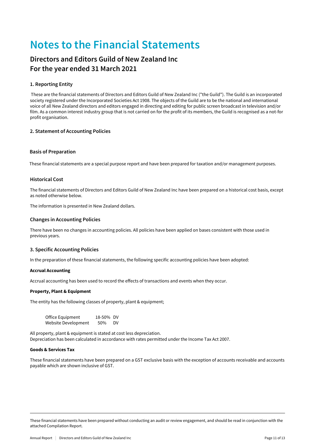## **Notes to the Financial Statements**

### **Directors and Editors Guild of New Zealand Inc For the year ended 31 March 2021**

### **1. Reporting Entity**

 These are the financial statements of Directors and Editors Guild of New Zealand Inc ("the Guild"). The Guild is an incorporated society registered under the Incorporated Societies Act 1908. The objects of the Guild are to be the national and international voice of all New Zealand directors and editors engaged in directing and editing for public screen broadcast in television and/or film. As a common interest industry group that is not carried on for the profit of its members, the Guild is recognised as a not-for profit organisation.

### **2. Statement of Accounting Policies**

### **Basis of Preparation**

These financial statements are a special purpose report and have been prepared for taxation and/or management purposes.

### **Historical Cost**

The financial statements of Directors and Editors Guild of New Zealand Inc have been prepared on a historical cost basis, except as noted otherwise below.

The information is presented in New Zealand dollars.

### **Changes in Accounting Policies**

There have been no changes in accounting policies. All policies have been applied on bases consistent with those used in previous years.

### **3. Specific Accounting Policies**

In the preparation of these financial statements, the following specific accounting policies have been adopted:

### Accrual Accounting

Accrual accounting has been used to record the effects of transactions and events when they occur.

### Property, Plant & Equipment

The entity has the following classes of property, plant & equipment;

| Office Equipment    | 18-50% DV |     |
|---------------------|-----------|-----|
| Website Development | 50%       | DV. |

All property, plant & equipment is stated at cost less depreciation. Depreciation has been calculated in accordance with rates permitted under the Income Tax Act 2007.

### Goods & Services Tax

These financial statements have been prepared on a GST exclusive basis with the exception of accounts receivable and accounts payable which are shown inclusive of GST.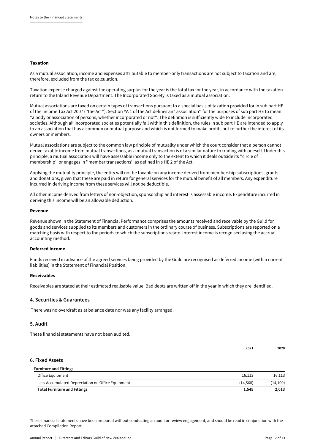### Taxation

As a mutual association, income and expenses attributable to member-only transactions are not subject to taxation and are, therefore, excluded from the tax calculation.

Taxation expense charged against the operating surplus for the year is the total tax for the year, in accordance with the taxation return to the Inland Revenue Department. The Incorporated Society is taxed as a mutual association.

Mutual associations are taxed on certain types of transactions pursuant to a special basis of taxation provided for in sub part HE of the Income Tax Act 2007 (''the Act''). Section YA 1 of the Act defines an" association'' for the purposes of sub part HE to mean "a body or association of persons, whether incorporated or not''. The definition is sufficiently wide to include incorporated societies. Although all incorporated societies potentially fall within this definition, the rules in sub part HE are intended to apply to an association that has a common or mutual purpose and which is not formed to make profits but to further the interest of its owners or members.

Mutual associations are subject to the common law principle of mutuality under which the court consider that a person cannot derive taxable income from mutual transactions, as a mutual transaction is of a similar nature to trading with oneself. Under this principle, a mutual association will have assessable income only to the extent to which it deals outside its ''circle of membership'' or engages in ''member transactions'' as defined in s HE 2 of the Act.

Applying the mutuality principle, the entity will not be taxable on any income derived from membership subscriptions, grants and donations, given that these are paid in return for general services for the mutual benefit of all members. Any expenditure incurred in deriving income from these services will not be deductible.

All other income derived from letters of non-objection, sponsorship and interest is assessable income. Expenditure incurred in deriving this income will be an allowable deduction.

#### Revenue

Revenue shown in the Statement of Financial Performance comprises the amounts received and receivable by the Guild for goods and services supplied to its members and customers in the ordinary course of business. Subscriptions are reported on a matching basis with respect to the periods to which the subscriptions relate. Interest income is recognised using the accrual accounting method.

#### Deferred Income

Funds received in advance of the agreed services being provided by the Guild are recognised as deferred income (within current liabilities) in the Statement of Financial Position.

#### Receivables

Receivables are stated at their estimated realisable value. Bad debts are written off in the year in which they are identified.

#### **4. Securities & Guarantees**

There was no overdraft as at balance date nor was any facility arranged.

#### **5. Audit**

These financial statements have not been audited.

|                                                   | 2021      | 2020      |
|---------------------------------------------------|-----------|-----------|
| 6. Fixed Assets                                   |           |           |
| <b>Furniture and Fittings</b>                     |           |           |
| Office Equipment                                  | 16,113    | 16,113    |
| Less Accumulated Depreciation on Office Equipment | (14, 568) | (14, 100) |
| <b>Total Furniture and Fittings</b>               | 1,545     | 2,013     |